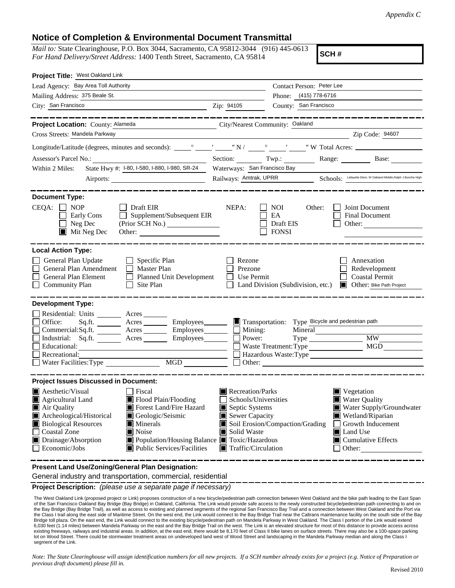*Appendix C*

## **Notice of Completion & Environmental Document Transmittal**

*Mail to:* State Clearinghouse, P.O. Box 3044, Sacramento, CA 95812-3044 (916) 445-0613 *For Hand Delivery/Street Address:* 1400 Tenth Street, Sacramento, CA 95814

**SCH #**

| Project Title: West Oakland Link                                                                                                                                                                                                                                                                                                                                |                                                                                                                                                                                            |                                                                                               |                                                                                                                                                                       |  |
|-----------------------------------------------------------------------------------------------------------------------------------------------------------------------------------------------------------------------------------------------------------------------------------------------------------------------------------------------------------------|--------------------------------------------------------------------------------------------------------------------------------------------------------------------------------------------|-----------------------------------------------------------------------------------------------|-----------------------------------------------------------------------------------------------------------------------------------------------------------------------|--|
| Lead Agency: Bay Area Toll Authority                                                                                                                                                                                                                                                                                                                            |                                                                                                                                                                                            | Contact Person: Peter Lee<br>Phone: (415) 778-6716<br>County: San Francisco                   |                                                                                                                                                                       |  |
| Mailing Address: 375 Beale St.                                                                                                                                                                                                                                                                                                                                  |                                                                                                                                                                                            |                                                                                               |                                                                                                                                                                       |  |
| City: San Francisco<br>$\frac{1}{2}$ $\frac{1}{2}$ $\frac{1}{2}$ $\frac{1}{2}$ $\frac{1}{2}$ $\frac{1}{2}$ $\frac{1}{2}$ $\frac{1}{2}$ $\frac{1}{2}$ $\frac{1}{2}$ $\frac{1}{2}$ $\frac{1}{2}$ $\frac{1}{2}$ $\frac{1}{2}$ $\frac{1}{2}$ $\frac{1}{2}$ $\frac{1}{2}$ $\frac{1}{2}$ $\frac{1}{2}$ $\frac{1}{2}$ $\frac{1}{2}$ $\frac{1}{2}$                      |                                                                                                                                                                                            |                                                                                               |                                                                                                                                                                       |  |
| _________<br>Project Location: County: Alameda                                                                                                                                                                                                                                                                                                                  | City/Nearest Community: Oakland                                                                                                                                                            |                                                                                               | _____________                                                                                                                                                         |  |
| Cross Streets: Mandela Parkway                                                                                                                                                                                                                                                                                                                                  |                                                                                                                                                                                            |                                                                                               | Zip Code: 94607                                                                                                                                                       |  |
|                                                                                                                                                                                                                                                                                                                                                                 |                                                                                                                                                                                            |                                                                                               |                                                                                                                                                                       |  |
| Assessor's Parcel No.: No.:                                                                                                                                                                                                                                                                                                                                     |                                                                                                                                                                                            |                                                                                               | Section: Twp.: Range: Base:                                                                                                                                           |  |
| State Hwy #: 1-80, 1-580, 1-880, 1-980, SR-24<br>Within 2 Miles:                                                                                                                                                                                                                                                                                                | Waterways: San Francisco Bay                                                                                                                                                               |                                                                                               |                                                                                                                                                                       |  |
|                                                                                                                                                                                                                                                                                                                                                                 |                                                                                                                                                                                            | Railways: Amtrak, UPRR<br>Schools: Lafayette Elem, W Oakland Middle, Ralph J Bunche High      |                                                                                                                                                                       |  |
| <b>Document Type:</b>                                                                                                                                                                                                                                                                                                                                           |                                                                                                                                                                                            |                                                                                               |                                                                                                                                                                       |  |
| $CEQA: \Box NOP$<br>Draft EIR<br>Supplement/Subsequent EIR<br>Early Cons<br>$\Box$<br>$\Box$ Neg Dec<br>(Prior SCH No.)<br>$\blacksquare$ Mit Neg Dec<br>Other:                                                                                                                                                                                                 | NEPA:                                                                                                                                                                                      | NOI.<br>Other:<br>EA<br>Draft EIS<br><b>FONSI</b>                                             | Joint Document<br><b>Final Document</b><br>Other:                                                                                                                     |  |
| <b>Local Action Type:</b><br>General Plan Update<br>Specific Plan<br>$\mathsf{L}$<br>General Plan Amendment<br>Master Plan<br>General Plan Element<br><b>Planned Unit Development</b><br><b>Community Plan</b><br>Site Plan                                                                                                                                     | Rezone<br>Prezone<br>Use Permit                                                                                                                                                            | Land Division (Subdivision, etc.)                                                             | Annexation<br>Redevelopment<br><b>Coastal Permit</b><br><b>I</b> Other: Bike Path Project                                                                             |  |
| <b>Development Type:</b>                                                                                                                                                                                                                                                                                                                                        |                                                                                                                                                                                            |                                                                                               |                                                                                                                                                                       |  |
| Residential: Units _________ Acres _______<br>Office:<br>Commercial:Sq.ft. ________ Acres _________ Employees_______<br>Industrial: Sq.ft. _______ Acres _______ Employees_______<br>Educational:<br>Recreational:<br>$\overline{MGD}$<br>Water Facilities: Type                                                                                                | $\Box$ Mining:<br>Power:                                                                                                                                                                   | Transportation: Type Bicycle and pedestrian path<br>Mineral<br>Hazardous Waste:Type<br>Other: | MW                                                                                                                                                                    |  |
| <b>Project Issues Discussed in Document:</b>                                                                                                                                                                                                                                                                                                                    |                                                                                                                                                                                            |                                                                                               |                                                                                                                                                                       |  |
| <b>Aesthetic/Visual</b><br>Fiscal<br>Flood Plain/Flooding<br>Agricultural Land<br>$\blacksquare$ Air Quality<br>Forest Land/Fire Hazard<br>Archeological/Historical<br>Geologic/Seismic<br><b>Biological Resources</b><br><b>Minerals</b><br>Coastal Zone<br>Noise<br>$\mathsf{L}$<br>Drainage/Absorption<br>Economic/Jobs<br><b>Public Services/Facilities</b> | Recreation/Parks<br>$\Box$ Schools/Universities<br>Septic Systems<br>Sewer Capacity<br>Solid Waste<br>■ Population/Housing Balance ■ Toxic/Hazardous<br>$\blacksquare$ Traffic/Circulation | Soil Erosion/Compaction/Grading                                                               | ■ Vegetation<br><b>Water Quality</b><br>Water Supply/Groundwater<br>Wetland/Riparian<br>Growth Inducement<br><b>■</b> Land Use<br>$\Box$ Cumulative Effects<br>Other: |  |
| Present Land Use/Zoning/General Plan Designation:                                                                                                                                                                                                                                                                                                               |                                                                                                                                                                                            |                                                                                               |                                                                                                                                                                       |  |

General industry and transportation, commercial, residential

**Project Description:** *(please use a separate page if necessary)*

 The West Oakland Link (proposed project or Link) proposes construction of a new bicycle/pedestrian path connection between West Oakland and the bike path leading to the East Span of the San Francisco Oakland Bay Bridge (Bay Bridge) in Oakland, California. The Link would provide safe access to the newly constructed bicycle/pedestrian path connecting to and on the Bay Bridge (Bay Bridge Trail), as well as access to existing and planned segments of the regional San Francisco Bay Trail and a connection between West Oakland and the Port via the Class I trail along the east side of Maritime Street. On the west end, the Link would connect to the Bay Bridge Trail near the Caltrans maintenance facility on the south side of the Bay Bridge toll plaza. On the east end, the Link would connect to the existing bicycle/pedestrian path on Mandela Parkway in West Oakland. The Class I portion of the Link would extend<br>6,030 feet (1.14 miles) between Mandela Pa existing freeways, railways and industrial areas. In addition, at the east end, there would be 8,170 feet of Class II bike lanes on surface streets. There may also be a 100-space parking lot on Wood Street. There could be stormwater treatment areas on undeveloped land west of Wood Street and landscaping in the Mandela Parkway median and along the Class I segment of the Link.

*Note: The State Clearinghouse will assign identification numbers for all new projects. If a SCH number already exists for a project (e.g. Notice of Preparation or previous draft document) please fill in.*